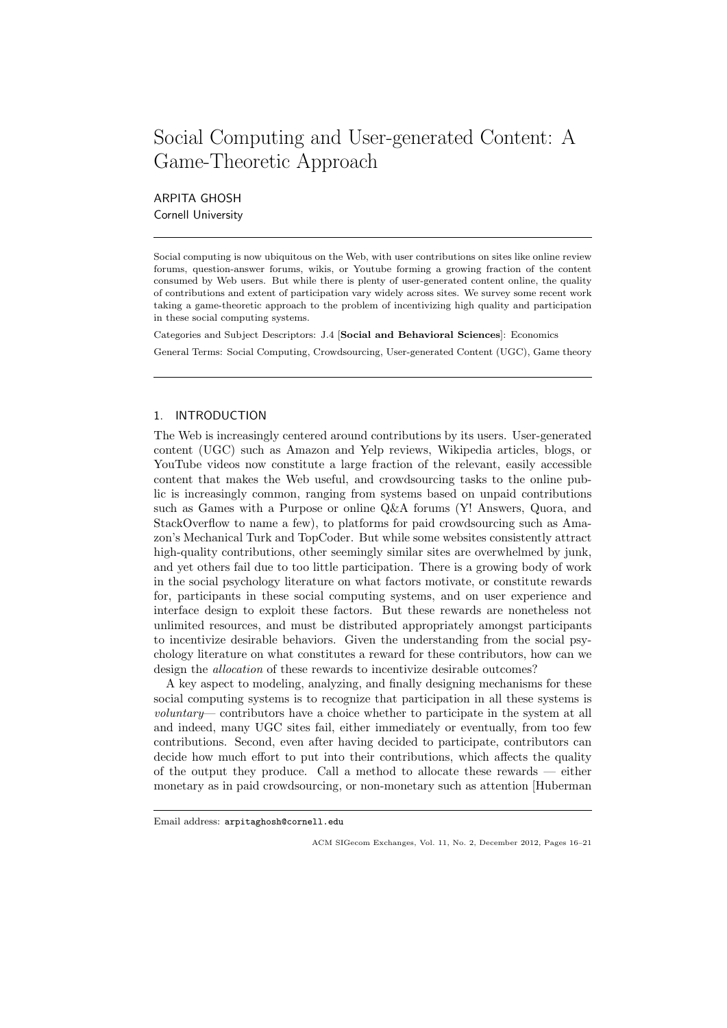# Social Computing and User-generated Content: A Game-Theoretic Approach

ARPITA GHOSH Cornell University

Social computing is now ubiquitous on the Web, with user contributions on sites like online review forums, question-answer forums, wikis, or Youtube forming a growing fraction of the content consumed by Web users. But while there is plenty of user-generated content online, the quality of contributions and extent of participation vary widely across sites. We survey some recent work taking a game-theoretic approach to the problem of incentivizing high quality and participation in these social computing systems.

Categories and Subject Descriptors: J.4 [Social and Behavioral Sciences]: Economics

General Terms: Social Computing, Crowdsourcing, User-generated Content (UGC), Game theory

## 1. INTRODUCTION

The Web is increasingly centered around contributions by its users. User-generated content (UGC) such as Amazon and Yelp reviews, Wikipedia articles, blogs, or YouTube videos now constitute a large fraction of the relevant, easily accessible content that makes the Web useful, and crowdsourcing tasks to the online public is increasingly common, ranging from systems based on unpaid contributions such as Games with a Purpose or online Q&A forums (Y! Answers, Quora, and StackOverflow to name a few), to platforms for paid crowdsourcing such as Amazon's Mechanical Turk and TopCoder. But while some websites consistently attract high-quality contributions, other seemingly similar sites are overwhelmed by junk, and yet others fail due to too little participation. There is a growing body of work in the social psychology literature on what factors motivate, or constitute rewards for, participants in these social computing systems, and on user experience and interface design to exploit these factors. But these rewards are nonetheless not unlimited resources, and must be distributed appropriately amongst participants to incentivize desirable behaviors. Given the understanding from the social psychology literature on what constitutes a reward for these contributors, how can we design the allocation of these rewards to incentivize desirable outcomes?

A key aspect to modeling, analyzing, and finally designing mechanisms for these social computing systems is to recognize that participation in all these systems is voluntary— contributors have a choice whether to participate in the system at all and indeed, many UGC sites fail, either immediately or eventually, from too few contributions. Second, even after having decided to participate, contributors can decide how much effort to put into their contributions, which affects the quality of the output they produce. Call a method to allocate these rewards — either monetary as in paid crowdsourcing, or non-monetary such as attention [Huberman

Email address: arpitaghosh@cornell.edu

ACM SIGecom Exchanges, Vol. 11, No. 2, December 2012, Pages 16–21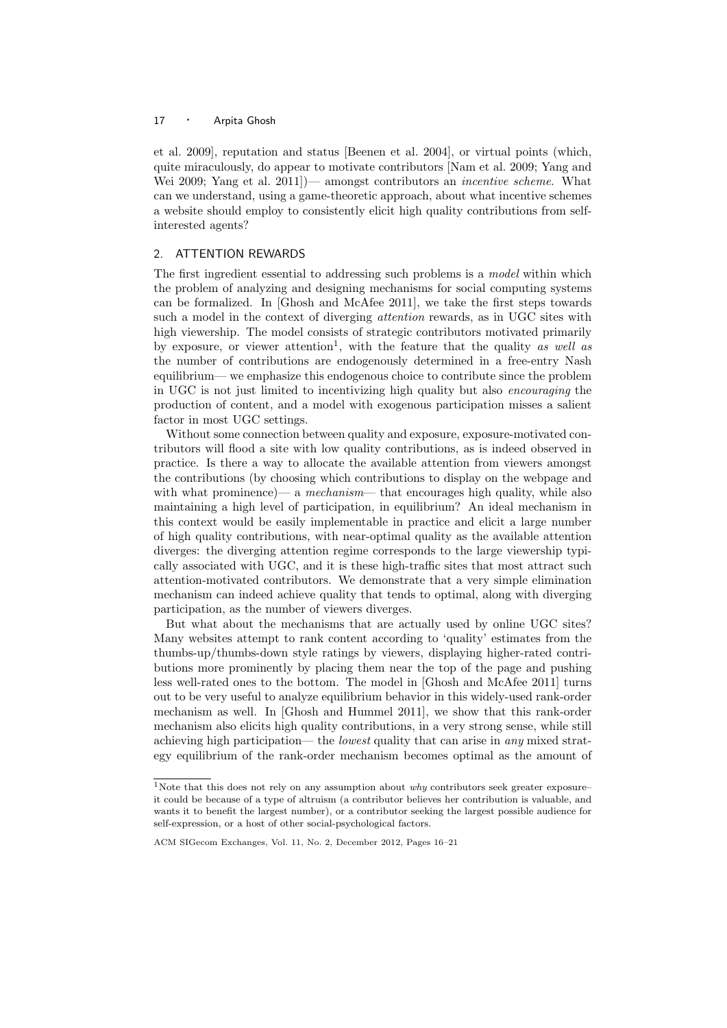## 17 · Arpita Ghosh

et al. 2009], reputation and status [Beenen et al. 2004], or virtual points (which, quite miraculously, do appear to motivate contributors [Nam et al. 2009; Yang and Wei 2009; Yang et al. 2011])— amongst contributors an *incentive scheme*. What can we understand, using a game-theoretic approach, about what incentive schemes a website should employ to consistently elicit high quality contributions from selfinterested agents?

## 2. ATTENTION REWARDS

The first ingredient essential to addressing such problems is a *model* within which the problem of analyzing and designing mechanisms for social computing systems can be formalized. In [Ghosh and McAfee 2011], we take the first steps towards such a model in the context of diverging attention rewards, as in UGC sites with high viewership. The model consists of strategic contributors motivated primarily by exposure, or viewer attention<sup>1</sup>, with the feature that the quality as well as the number of contributions are endogenously determined in a free-entry Nash equilibrium— we emphasize this endogenous choice to contribute since the problem in UGC is not just limited to incentivizing high quality but also encouraging the production of content, and a model with exogenous participation misses a salient factor in most UGC settings.

Without some connection between quality and exposure, exposure-motivated contributors will flood a site with low quality contributions, as is indeed observed in practice. Is there a way to allocate the available attention from viewers amongst the contributions (by choosing which contributions to display on the webpage and with what prominence)— a mechanism— that encourages high quality, while also maintaining a high level of participation, in equilibrium? An ideal mechanism in this context would be easily implementable in practice and elicit a large number of high quality contributions, with near-optimal quality as the available attention diverges: the diverging attention regime corresponds to the large viewership typically associated with UGC, and it is these high-traffic sites that most attract such attention-motivated contributors. We demonstrate that a very simple elimination mechanism can indeed achieve quality that tends to optimal, along with diverging participation, as the number of viewers diverges.

But what about the mechanisms that are actually used by online UGC sites? Many websites attempt to rank content according to 'quality' estimates from the thumbs-up/thumbs-down style ratings by viewers, displaying higher-rated contributions more prominently by placing them near the top of the page and pushing less well-rated ones to the bottom. The model in [Ghosh and McAfee 2011] turns out to be very useful to analyze equilibrium behavior in this widely-used rank-order mechanism as well. In [Ghosh and Hummel 2011], we show that this rank-order mechanism also elicits high quality contributions, in a very strong sense, while still achieving high participation— the lowest quality that can arise in any mixed strategy equilibrium of the rank-order mechanism becomes optimal as the amount of

<sup>&</sup>lt;sup>1</sup>Note that this does not rely on any assumption about  $why$  contributors seek greater exposure– it could be because of a type of altruism (a contributor believes her contribution is valuable, and wants it to benefit the largest number), or a contributor seeking the largest possible audience for self-expression, or a host of other social-psychological factors.

ACM SIGecom Exchanges, Vol. 11, No. 2, December 2012, Pages 16–21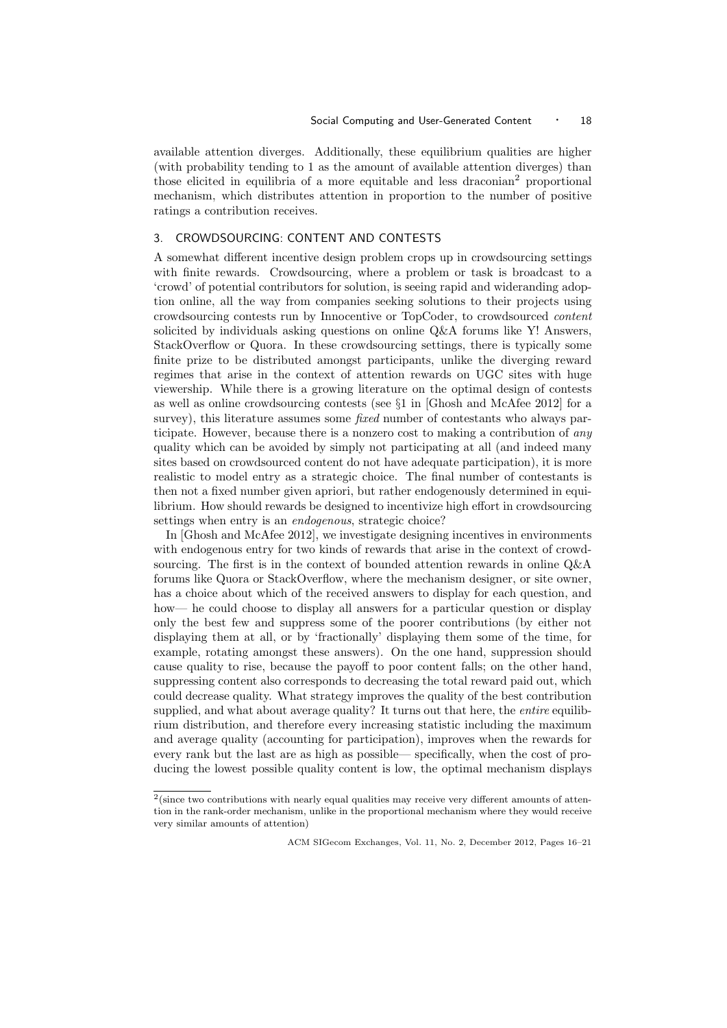available attention diverges. Additionally, these equilibrium qualities are higher (with probability tending to 1 as the amount of available attention diverges) than those elicited in equilibria of a more equitable and less draconian<sup>2</sup> proportional mechanism, which distributes attention in proportion to the number of positive ratings a contribution receives.

#### 3. CROWDSOURCING: CONTENT AND CONTESTS

A somewhat different incentive design problem crops up in crowdsourcing settings with finite rewards. Crowdsourcing, where a problem or task is broadcast to a 'crowd' of potential contributors for solution, is seeing rapid and wideranding adoption online, all the way from companies seeking solutions to their projects using crowdsourcing contests run by Innocentive or TopCoder, to crowdsourced content solicited by individuals asking questions on online Q&A forums like Y! Answers, StackOverflow or Quora. In these crowdsourcing settings, there is typically some finite prize to be distributed amongst participants, unlike the diverging reward regimes that arise in the context of attention rewards on UGC sites with huge viewership. While there is a growing literature on the optimal design of contests as well as online crowdsourcing contests (see §1 in [Ghosh and McAfee 2012] for a survey), this literature assumes some *fixed* number of contestants who always participate. However, because there is a nonzero cost to making a contribution of any quality which can be avoided by simply not participating at all (and indeed many sites based on crowdsourced content do not have adequate participation), it is more realistic to model entry as a strategic choice. The final number of contestants is then not a fixed number given apriori, but rather endogenously determined in equilibrium. How should rewards be designed to incentivize high effort in crowdsourcing settings when entry is an endogenous, strategic choice?

In [Ghosh and McAfee 2012], we investigate designing incentives in environments with endogenous entry for two kinds of rewards that arise in the context of crowdsourcing. The first is in the context of bounded attention rewards in online Q&A forums like Quora or StackOverflow, where the mechanism designer, or site owner, has a choice about which of the received answers to display for each question, and how— he could choose to display all answers for a particular question or display only the best few and suppress some of the poorer contributions (by either not displaying them at all, or by 'fractionally' displaying them some of the time, for example, rotating amongst these answers). On the one hand, suppression should cause quality to rise, because the payoff to poor content falls; on the other hand, suppressing content also corresponds to decreasing the total reward paid out, which could decrease quality. What strategy improves the quality of the best contribution supplied, and what about average quality? It turns out that here, the *entire* equilibrium distribution, and therefore every increasing statistic including the maximum and average quality (accounting for participation), improves when the rewards for every rank but the last are as high as possible— specifically, when the cost of producing the lowest possible quality content is low, the optimal mechanism displays

<sup>&</sup>lt;sup>2</sup>(since two contributions with nearly equal qualities may receive very different amounts of attention in the rank-order mechanism, unlike in the proportional mechanism where they would receive very similar amounts of attention)

ACM SIGecom Exchanges, Vol. 11, No. 2, December 2012, Pages 16–21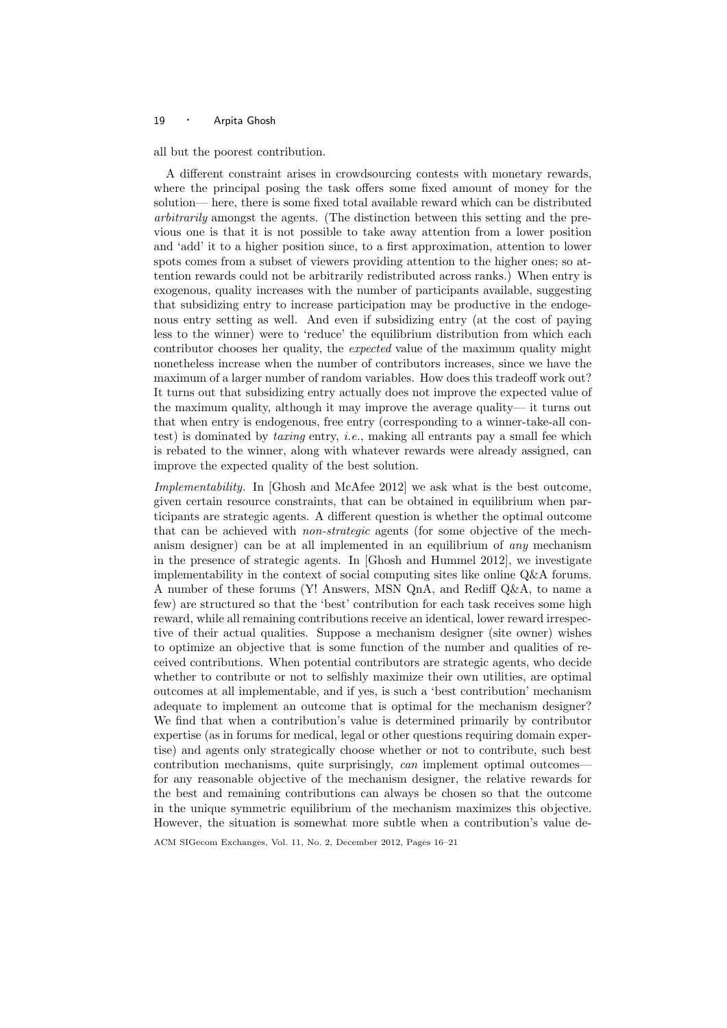## 19 · Arpita Ghosh

all but the poorest contribution.

A different constraint arises in crowdsourcing contests with monetary rewards, where the principal posing the task offers some fixed amount of money for the solution— here, there is some fixed total available reward which can be distributed arbitrarily amongst the agents. (The distinction between this setting and the previous one is that it is not possible to take away attention from a lower position and 'add' it to a higher position since, to a first approximation, attention to lower spots comes from a subset of viewers providing attention to the higher ones; so attention rewards could not be arbitrarily redistributed across ranks.) When entry is exogenous, quality increases with the number of participants available, suggesting that subsidizing entry to increase participation may be productive in the endogenous entry setting as well. And even if subsidizing entry (at the cost of paying less to the winner) were to 'reduce' the equilibrium distribution from which each contributor chooses her quality, the expected value of the maximum quality might nonetheless increase when the number of contributors increases, since we have the maximum of a larger number of random variables. How does this tradeoff work out? It turns out that subsidizing entry actually does not improve the expected value of the maximum quality, although it may improve the average quality— it turns out that when entry is endogenous, free entry (corresponding to a winner-take-all contest) is dominated by taxing entry, i.e., making all entrants pay a small fee which is rebated to the winner, along with whatever rewards were already assigned, can improve the expected quality of the best solution.

Implementability. In [Ghosh and McAfee 2012] we ask what is the best outcome, given certain resource constraints, that can be obtained in equilibrium when participants are strategic agents. A different question is whether the optimal outcome that can be achieved with *non-strategic* agents (for some objective of the mechanism designer) can be at all implemented in an equilibrium of  $any$  mechanism in the presence of strategic agents. In [Ghosh and Hummel 2012], we investigate implementability in the context of social computing sites like online Q&A forums. A number of these forums (Y! Answers, MSN QnA, and Rediff Q&A, to name a few) are structured so that the 'best' contribution for each task receives some high reward, while all remaining contributions receive an identical, lower reward irrespective of their actual qualities. Suppose a mechanism designer (site owner) wishes to optimize an objective that is some function of the number and qualities of received contributions. When potential contributors are strategic agents, who decide whether to contribute or not to selfishly maximize their own utilities, are optimal outcomes at all implementable, and if yes, is such a 'best contribution' mechanism adequate to implement an outcome that is optimal for the mechanism designer? We find that when a contribution's value is determined primarily by contributor expertise (as in forums for medical, legal or other questions requiring domain expertise) and agents only strategically choose whether or not to contribute, such best contribution mechanisms, quite surprisingly, can implement optimal outcomesfor any reasonable objective of the mechanism designer, the relative rewards for the best and remaining contributions can always be chosen so that the outcome in the unique symmetric equilibrium of the mechanism maximizes this objective. However, the situation is somewhat more subtle when a contribution's value de-

ACM SIGecom Exchanges, Vol. 11, No. 2, December 2012, Pages 16–21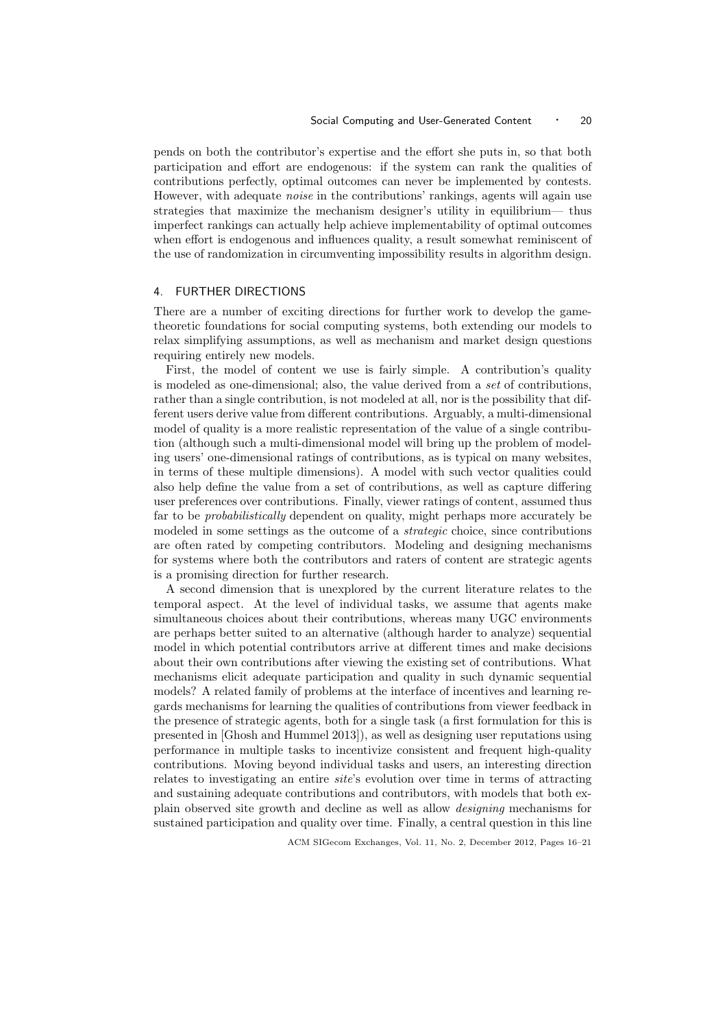pends on both the contributor's expertise and the effort she puts in, so that both participation and effort are endogenous: if the system can rank the qualities of contributions perfectly, optimal outcomes can never be implemented by contests. However, with adequate noise in the contributions' rankings, agents will again use strategies that maximize the mechanism designer's utility in equilibrium— thus imperfect rankings can actually help achieve implementability of optimal outcomes when effort is endogenous and influences quality, a result somewhat reminiscent of the use of randomization in circumventing impossibility results in algorithm design.

## 4. FURTHER DIRECTIONS

There are a number of exciting directions for further work to develop the gametheoretic foundations for social computing systems, both extending our models to relax simplifying assumptions, as well as mechanism and market design questions requiring entirely new models.

First, the model of content we use is fairly simple. A contribution's quality is modeled as one-dimensional; also, the value derived from a set of contributions, rather than a single contribution, is not modeled at all, nor is the possibility that different users derive value from different contributions. Arguably, a multi-dimensional model of quality is a more realistic representation of the value of a single contribution (although such a multi-dimensional model will bring up the problem of modeling users' one-dimensional ratings of contributions, as is typical on many websites, in terms of these multiple dimensions). A model with such vector qualities could also help define the value from a set of contributions, as well as capture differing user preferences over contributions. Finally, viewer ratings of content, assumed thus far to be probabilistically dependent on quality, might perhaps more accurately be modeled in some settings as the outcome of a strategic choice, since contributions are often rated by competing contributors. Modeling and designing mechanisms for systems where both the contributors and raters of content are strategic agents is a promising direction for further research.

A second dimension that is unexplored by the current literature relates to the temporal aspect. At the level of individual tasks, we assume that agents make simultaneous choices about their contributions, whereas many UGC environments are perhaps better suited to an alternative (although harder to analyze) sequential model in which potential contributors arrive at different times and make decisions about their own contributions after viewing the existing set of contributions. What mechanisms elicit adequate participation and quality in such dynamic sequential models? A related family of problems at the interface of incentives and learning regards mechanisms for learning the qualities of contributions from viewer feedback in the presence of strategic agents, both for a single task (a first formulation for this is presented in [Ghosh and Hummel 2013]), as well as designing user reputations using performance in multiple tasks to incentivize consistent and frequent high-quality contributions. Moving beyond individual tasks and users, an interesting direction relates to investigating an entire site's evolution over time in terms of attracting and sustaining adequate contributions and contributors, with models that both explain observed site growth and decline as well as allow designing mechanisms for sustained participation and quality over time. Finally, a central question in this line

ACM SIGecom Exchanges, Vol. 11, No. 2, December 2012, Pages 16–21